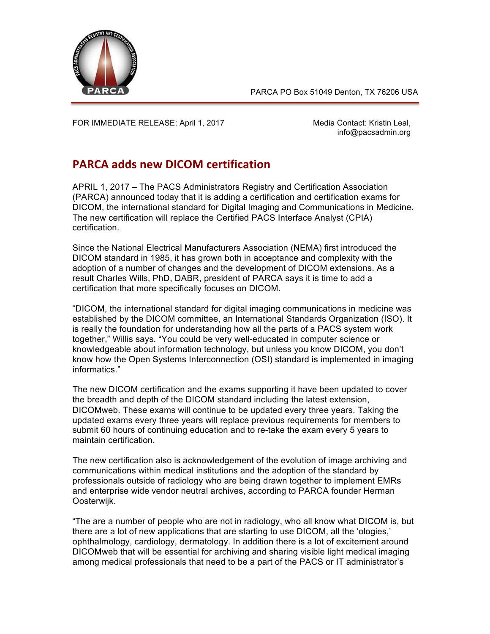

PARCA PO Box 51049 Denton, TX 76206 USA

FOR IMMEDIATE RELEASE: April 1, 2017 Media Contact: Kristin Leal,

info@pacsadmin.org

## **PARCA adds new DICOM certification**

APRIL 1, 2017 – The PACS Administrators Registry and Certification Association (PARCA) announced today that it is adding a certification and certification exams for DICOM, the international standard for Digital Imaging and Communications in Medicine. The new certification will replace the Certified PACS Interface Analyst (CPIA) certification.

Since the National Electrical Manufacturers Association (NEMA) first introduced the DICOM standard in 1985, it has grown both in acceptance and complexity with the adoption of a number of changes and the development of DICOM extensions. As a result Charles Wills, PhD, DABR, president of PARCA says it is time to add a certification that more specifically focuses on DICOM.

"DICOM, the international standard for digital imaging communications in medicine was established by the DICOM committee, an International Standards Organization (ISO). It is really the foundation for understanding how all the parts of a PACS system work together," Willis says. "You could be very well-educated in computer science or knowledgeable about information technology, but unless you know DICOM, you don't know how the Open Systems Interconnection (OSI) standard is implemented in imaging informatics."

The new DICOM certification and the exams supporting it have been updated to cover the breadth and depth of the DICOM standard including the latest extension, DICOMweb. These exams will continue to be updated every three years. Taking the updated exams every three years will replace previous requirements for members to submit 60 hours of continuing education and to re-take the exam every 5 years to maintain certification.

The new certification also is acknowledgement of the evolution of image archiving and communications within medical institutions and the adoption of the standard by professionals outside of radiology who are being drawn together to implement EMRs and enterprise wide vendor neutral archives, according to PARCA founder Herman Oosterwijk.

"The are a number of people who are not in radiology, who all know what DICOM is, but there are a lot of new applications that are starting to use DICOM, all the 'ologies,' ophthalmology, cardiology, dermatology. In addition there is a lot of excitement around DICOMweb that will be essential for archiving and sharing visible light medical imaging among medical professionals that need to be a part of the PACS or IT administrator's